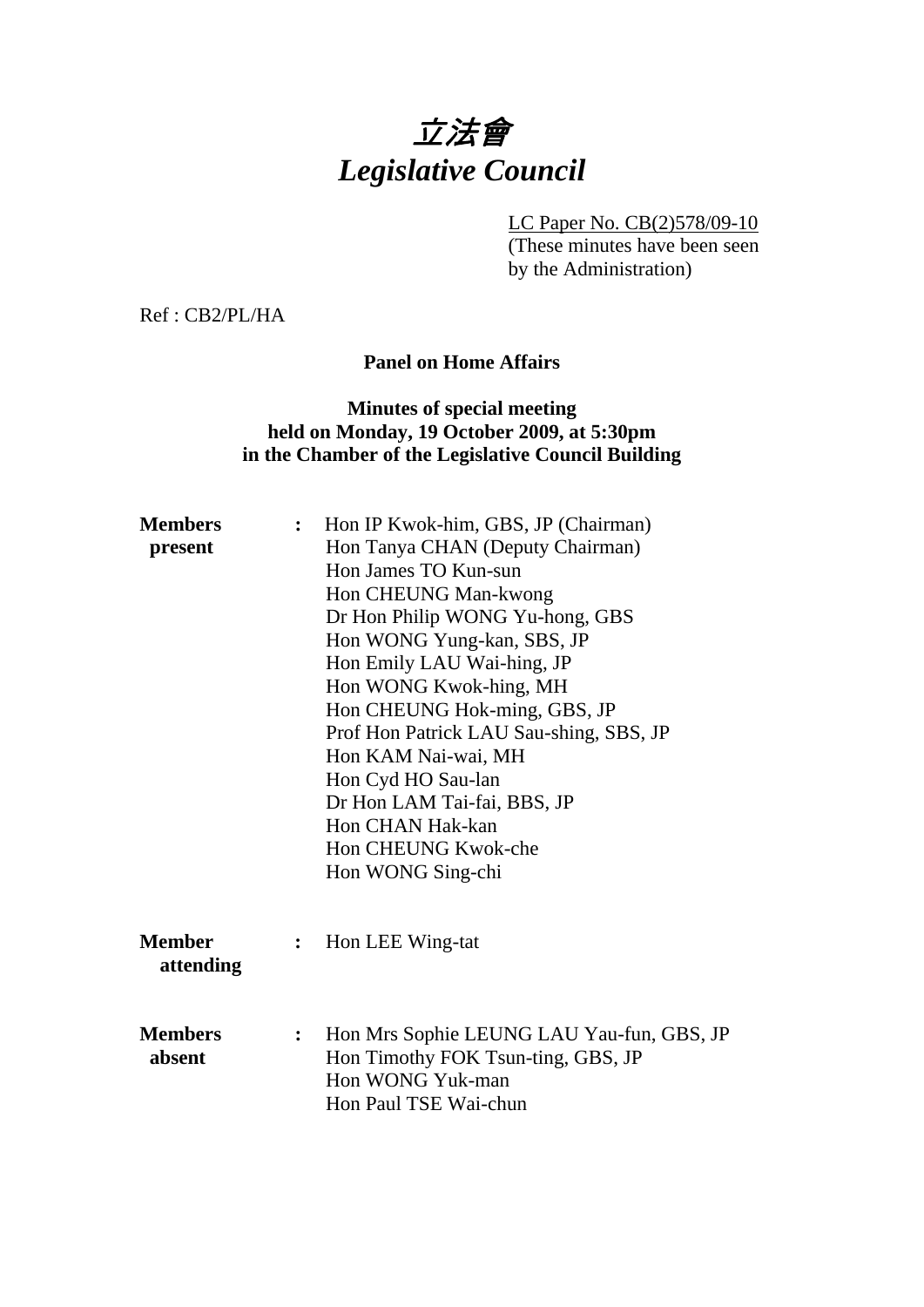# 立法會 *Legislative Council*

LC Paper No. CB(2)578/09-10

(These minutes have been seen by the Administration)

Ref : CB2/PL/HA

## **Panel on Home Affairs**

# **Minutes of special meeting held on Monday, 19 October 2009, at 5:30pm in the Chamber of the Legislative Council Building**

| <b>Members</b> | $\ddot{\cdot}$ | Hon IP Kwok-him, GBS, JP (Chairman)       |
|----------------|----------------|-------------------------------------------|
| present        |                | Hon Tanya CHAN (Deputy Chairman)          |
|                |                | Hon James TO Kun-sun                      |
|                |                | Hon CHEUNG Man-kwong                      |
|                |                | Dr Hon Philip WONG Yu-hong, GBS           |
|                |                | Hon WONG Yung-kan, SBS, JP                |
|                |                | Hon Emily LAU Wai-hing, JP                |
|                |                | Hon WONG Kwok-hing, MH                    |
|                |                | Hon CHEUNG Hok-ming, GBS, JP              |
|                |                | Prof Hon Patrick LAU Sau-shing, SBS, JP   |
|                |                | Hon KAM Nai-wai, MH                       |
|                |                | Hon Cyd HO Sau-lan                        |
|                |                | Dr Hon LAM Tai-fai, BBS, JP               |
|                |                | Hon CHAN Hak-kan                          |
|                |                | Hon CHEUNG Kwok-che                       |
|                |                | Hon WONG Sing-chi                         |
| <b>Member</b>  | $\ddot{\cdot}$ | Hon LEE Wing-tat                          |
| attending      |                |                                           |
| <b>Members</b> | $\ddot{\cdot}$ | Hon Mrs Sophie LEUNG LAU Yau-fun, GBS, JP |
| absent         |                | Hon Timothy FOK Tsun-ting, GBS, JP        |
|                |                | Hon WONG Yuk-man                          |
|                |                | Hon Paul TSE Wai-chun                     |
|                |                |                                           |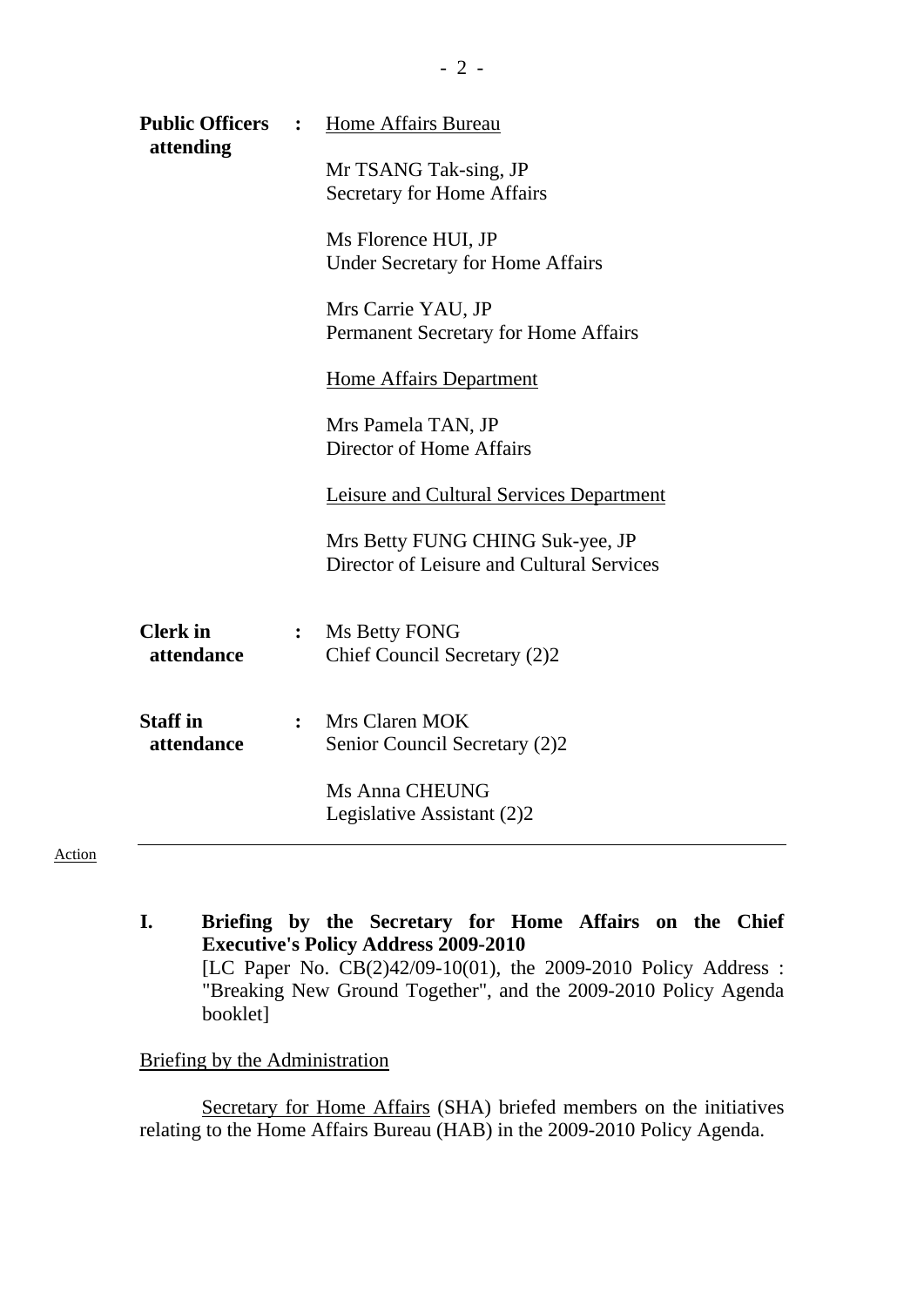| <b>Public Officers</b><br>attending | $\ddot{\cdot}$ | Home Affairs Bureau<br>Mr TSANG Tak-sing, JP                                  |
|-------------------------------------|----------------|-------------------------------------------------------------------------------|
|                                     |                | <b>Secretary for Home Affairs</b>                                             |
|                                     |                | Ms Florence HUI, JP<br><b>Under Secretary for Home Affairs</b>                |
|                                     |                | Mrs Carrie YAU, JP<br>Permanent Secretary for Home Affairs                    |
|                                     |                | Home Affairs Department                                                       |
|                                     |                | Mrs Pamela TAN, JP<br>Director of Home Affairs                                |
|                                     |                | Leisure and Cultural Services Department                                      |
|                                     |                | Mrs Betty FUNG CHING Suk-yee, JP<br>Director of Leisure and Cultural Services |
| <b>Clerk</b> in<br>attendance       | $\ddot{\cdot}$ | Ms Betty FONG<br>Chief Council Secretary (2)2                                 |
| <b>Staff in</b><br>attendance       | $\ddot{\cdot}$ | Mrs Claren MOK<br>Senior Council Secretary (2)2                               |
|                                     |                | Ms Anna CHEUNG<br>Legislative Assistant (2)2                                  |

**I. Briefing by the Secretary for Home Affairs on the Chief Executive's Policy Address 2009-2010**  [LC Paper No. CB(2)42/09-10(01), the 2009-2010 Policy Address : "Breaking New Ground Together", and the 2009-2010 Policy Agenda booklet]

#### Briefing by the Administration

Secretary for Home Affairs (SHA) briefed members on the initiatives relating to the Home Affairs Bureau (HAB) in the 2009-2010 Policy Agenda.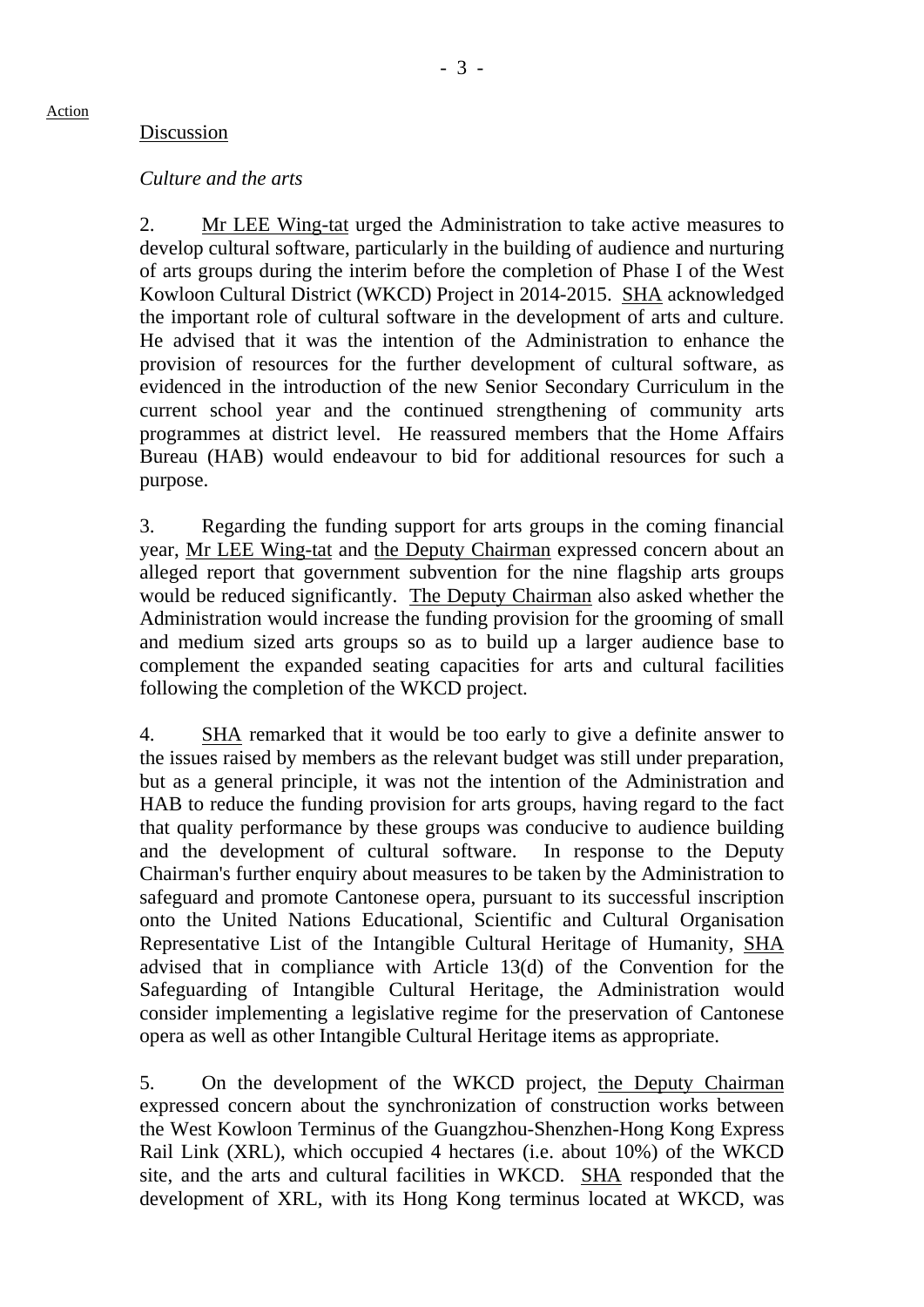### Discussion

### *Culture and the arts*

2. Mr LEE Wing-tat urged the Administration to take active measures to develop cultural software, particularly in the building of audience and nurturing of arts groups during the interim before the completion of Phase I of the West Kowloon Cultural District (WKCD) Project in 2014-2015. SHA acknowledged the important role of cultural software in the development of arts and culture. He advised that it was the intention of the Administration to enhance the provision of resources for the further development of cultural software, as evidenced in the introduction of the new Senior Secondary Curriculum in the current school year and the continued strengthening of community arts programmes at district level. He reassured members that the Home Affairs Bureau (HAB) would endeavour to bid for additional resources for such a purpose.

3. Regarding the funding support for arts groups in the coming financial year, Mr LEE Wing-tat and the Deputy Chairman expressed concern about an alleged report that government subvention for the nine flagship arts groups would be reduced significantly. The Deputy Chairman also asked whether the Administration would increase the funding provision for the grooming of small and medium sized arts groups so as to build up a larger audience base to complement the expanded seating capacities for arts and cultural facilities following the completion of the WKCD project.

4. SHA remarked that it would be too early to give a definite answer to the issues raised by members as the relevant budget was still under preparation, but as a general principle, it was not the intention of the Administration and HAB to reduce the funding provision for arts groups, having regard to the fact that quality performance by these groups was conducive to audience building and the development of cultural software. In response to the Deputy Chairman's further enquiry about measures to be taken by the Administration to safeguard and promote Cantonese opera, pursuant to its successful inscription onto the United Nations Educational, Scientific and Cultural Organisation Representative List of the Intangible Cultural Heritage of Humanity, SHA advised that in compliance with Article 13(d) of the Convention for the Safeguarding of Intangible Cultural Heritage, the Administration would consider implementing a legislative regime for the preservation of Cantonese opera as well as other Intangible Cultural Heritage items as appropriate.

5. On the development of the WKCD project, the Deputy Chairman expressed concern about the synchronization of construction works between the West Kowloon Terminus of the Guangzhou-Shenzhen-Hong Kong Express Rail Link (XRL), which occupied 4 hectares (i.e. about 10%) of the WKCD site, and the arts and cultural facilities in WKCD. SHA responded that the development of XRL, with its Hong Kong terminus located at WKCD, was

Action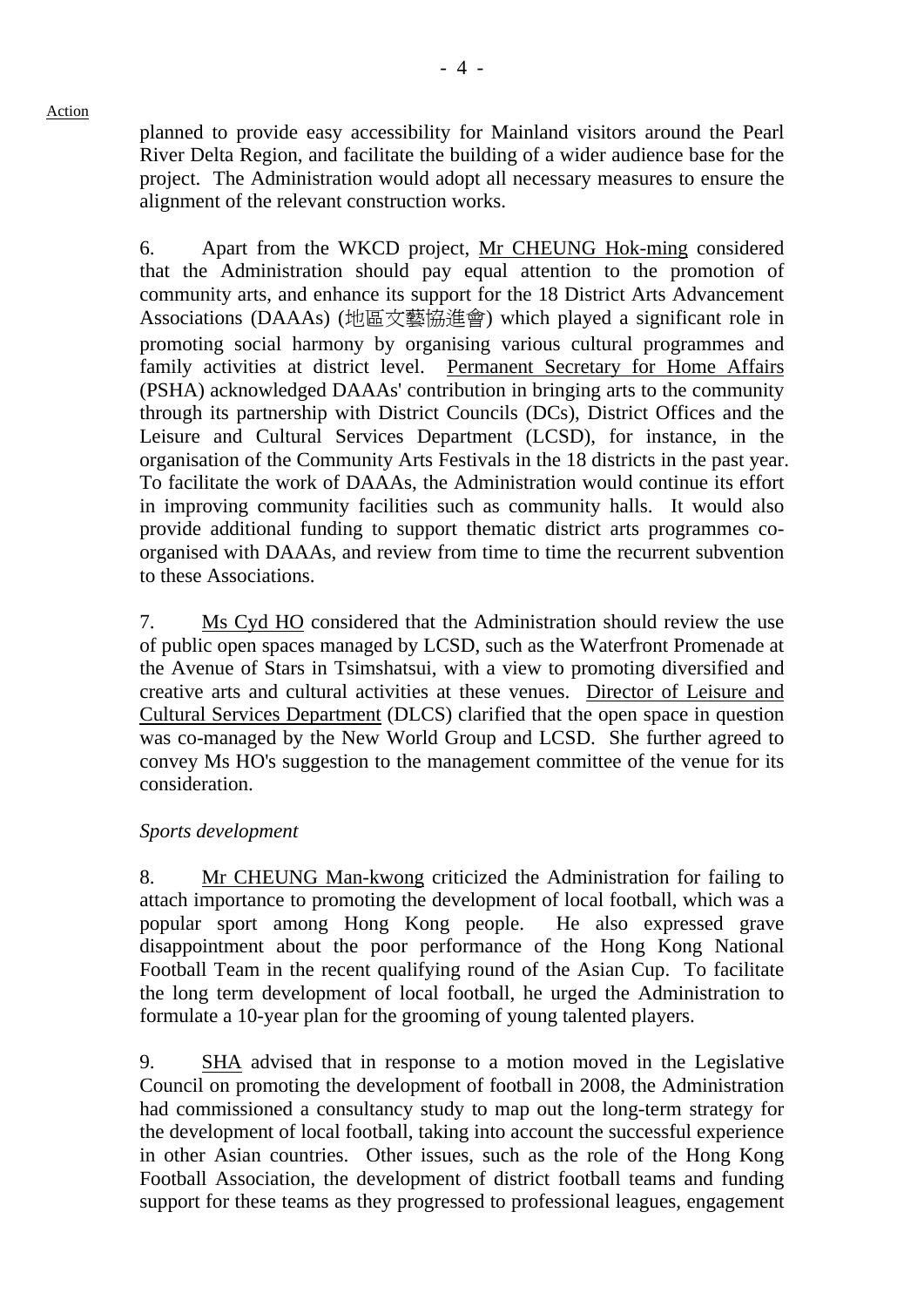planned to provide easy accessibility for Mainland visitors around the Pearl River Delta Region, and facilitate the building of a wider audience base for the project. The Administration would adopt all necessary measures to ensure the

alignment of the relevant construction works.

6. Apart from the WKCD project, Mr CHEUNG Hok-ming considered that the Administration should pay equal attention to the promotion of community arts, and enhance its support for the 18 District Arts Advancement Associations (DAAAs) (地區文藝協進會) which played a significant role in promoting social harmony by organising various cultural programmes and family activities at district level. Permanent Secretary for Home Affairs (PSHA) acknowledged DAAAs' contribution in bringing arts to the community through its partnership with District Councils (DCs), District Offices and the Leisure and Cultural Services Department (LCSD), for instance, in the organisation of the Community Arts Festivals in the 18 districts in the past year. To facilitate the work of DAAAs, the Administration would continue its effort in improving community facilities such as community halls. It would also provide additional funding to support thematic district arts programmes coorganised with DAAAs, and review from time to time the recurrent subvention to these Associations.

7. Ms Cyd HO considered that the Administration should review the use of public open spaces managed by LCSD, such as the Waterfront Promenade at the Avenue of Stars in Tsimshatsui, with a view to promoting diversified and creative arts and cultural activities at these venues. Director of Leisure and Cultural Services Department (DLCS) clarified that the open space in question was co-managed by the New World Group and LCSD. She further agreed to convey Ms HO's suggestion to the management committee of the venue for its consideration.

# *Sports development*

8. Mr CHEUNG Man-kwong criticized the Administration for failing to attach importance to promoting the development of local football, which was a popular sport among Hong Kong people. He also expressed grave disappointment about the poor performance of the Hong Kong National Football Team in the recent qualifying round of the Asian Cup. To facilitate the long term development of local football, he urged the Administration to formulate a 10-year plan for the grooming of young talented players.

9. SHA advised that in response to a motion moved in the Legislative Council on promoting the development of football in 2008, the Administration had commissioned a consultancy study to map out the long-term strategy for the development of local football, taking into account the successful experience in other Asian countries. Other issues, such as the role of the Hong Kong Football Association, the development of district football teams and funding support for these teams as they progressed to professional leagues, engagement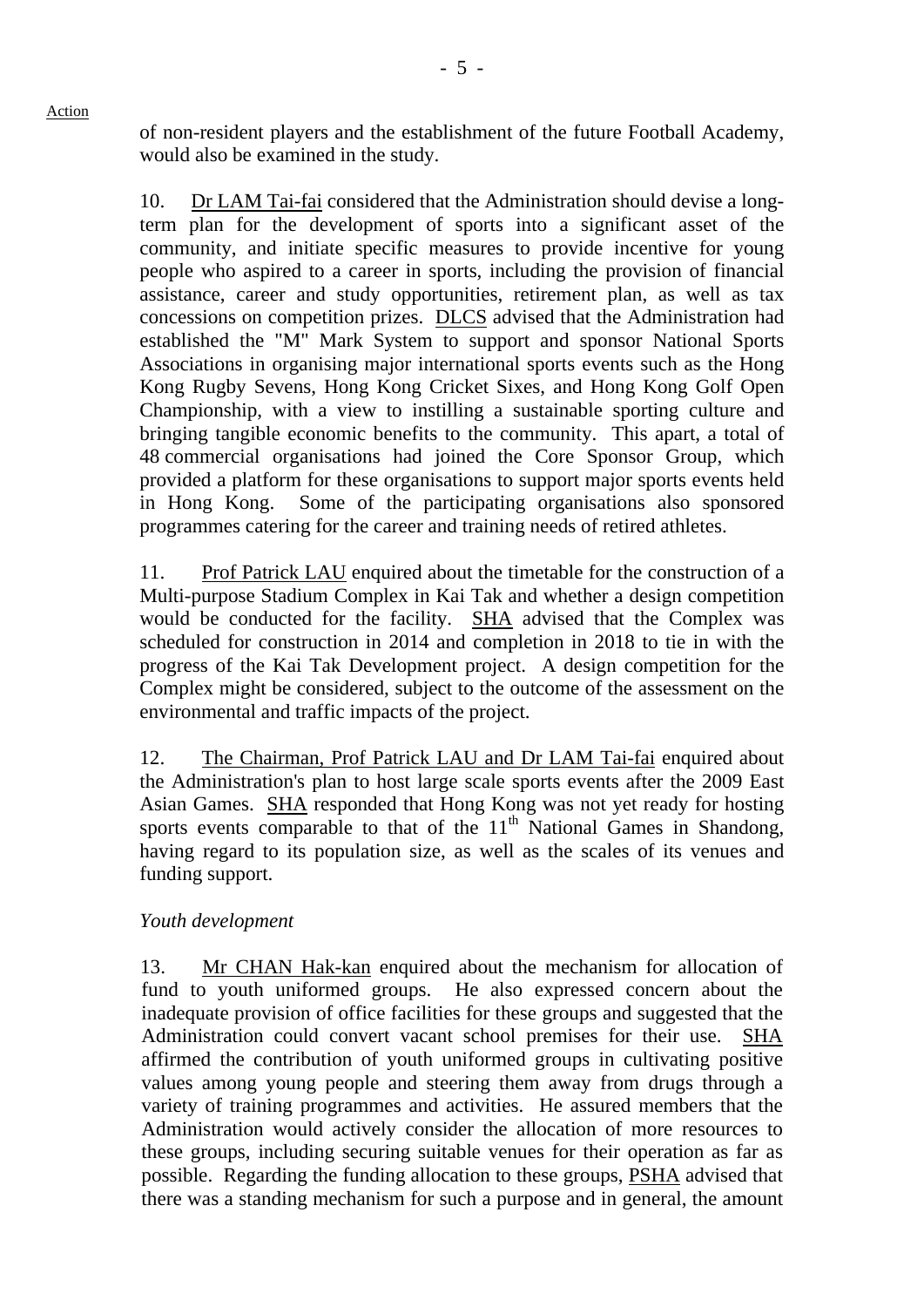of non-resident players and the establishment of the future Football Academy, would also be examined in the study.

10. Dr LAM Tai-fai considered that the Administration should devise a longterm plan for the development of sports into a significant asset of the community, and initiate specific measures to provide incentive for young people who aspired to a career in sports, including the provision of financial assistance, career and study opportunities, retirement plan, as well as tax concessions on competition prizes. DLCS advised that the Administration had established the "M" Mark System to support and sponsor National Sports Associations in organising major international sports events such as the Hong Kong Rugby Sevens, Hong Kong Cricket Sixes, and Hong Kong Golf Open Championship, with a view to instilling a sustainable sporting culture and bringing tangible economic benefits to the community. This apart, a total of 48 commercial organisations had joined the Core Sponsor Group, which provided a platform for these organisations to support major sports events held in Hong Kong. Some of the participating organisations also sponsored programmes catering for the career and training needs of retired athletes.

11. Prof Patrick LAU enquired about the timetable for the construction of a Multi-purpose Stadium Complex in Kai Tak and whether a design competition would be conducted for the facility. SHA advised that the Complex was scheduled for construction in 2014 and completion in 2018 to tie in with the progress of the Kai Tak Development project. A design competition for the Complex might be considered, subject to the outcome of the assessment on the environmental and traffic impacts of the project.

12. The Chairman, Prof Patrick LAU and Dr LAM Tai-fai enquired about the Administration's plan to host large scale sports events after the 2009 East Asian Games. SHA responded that Hong Kong was not yet ready for hosting sports events comparable to that of the  $11<sup>th</sup>$  National Games in Shandong, having regard to its population size, as well as the scales of its venues and funding support.

# *Youth development*

13. Mr CHAN Hak-kan enquired about the mechanism for allocation of fund to youth uniformed groups. He also expressed concern about the inadequate provision of office facilities for these groups and suggested that the Administration could convert vacant school premises for their use. SHA affirmed the contribution of youth uniformed groups in cultivating positive values among young people and steering them away from drugs through a variety of training programmes and activities. He assured members that the Administration would actively consider the allocation of more resources to these groups, including securing suitable venues for their operation as far as possible. Regarding the funding allocation to these groups, PSHA advised that there was a standing mechanism for such a purpose and in general, the amount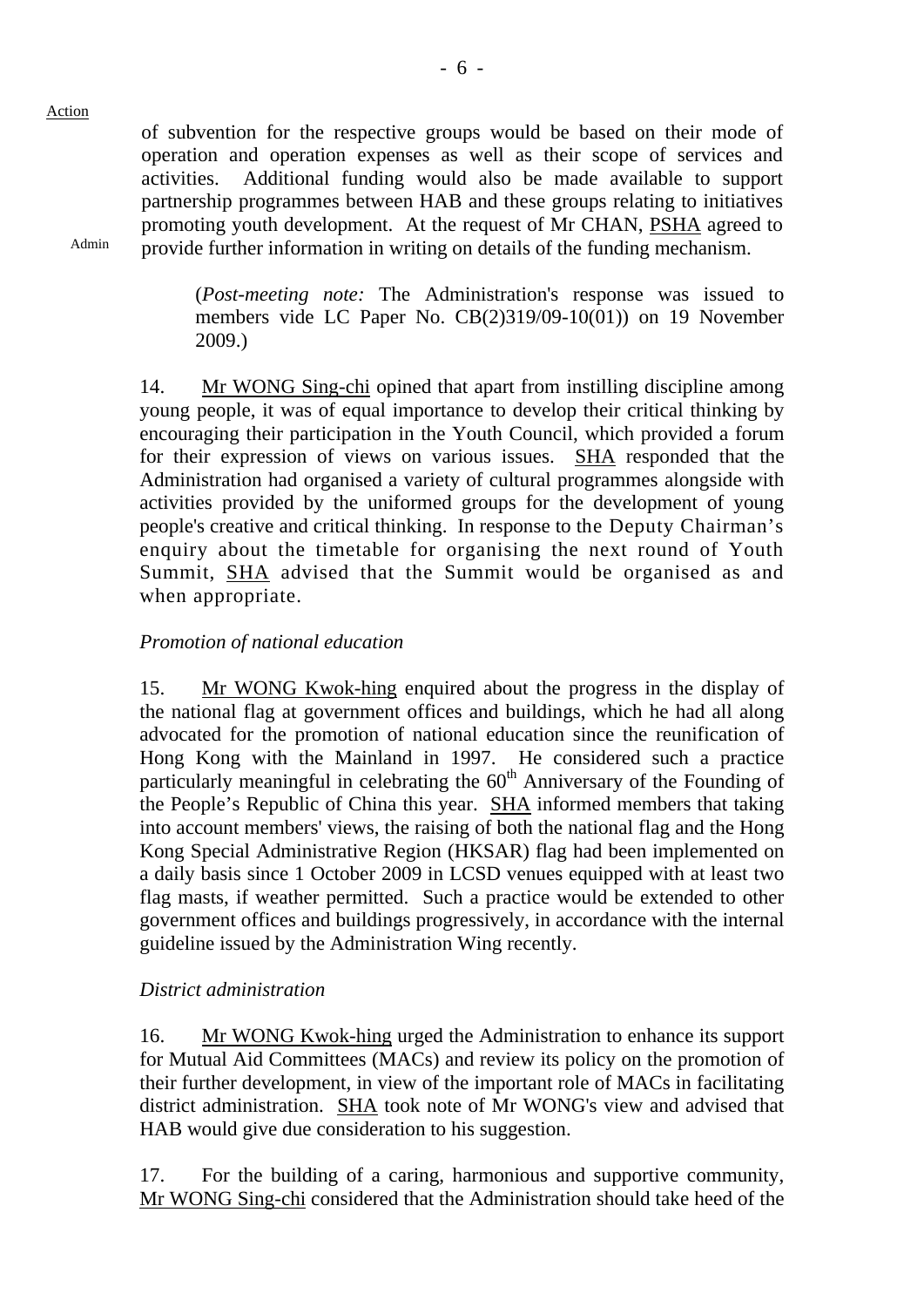Admin

of subvention for the respective groups would be based on their mode of operation and operation expenses as well as their scope of services and activities. Additional funding would also be made available to support partnership programmes between HAB and these groups relating to initiatives promoting youth development. At the request of Mr CHAN, PSHA agreed to provide further information in writing on details of the funding mechanism.

(*Post-meeting note:* The Administration's response was issued to members vide LC Paper No. CB(2)319/09-10(01)) on 19 November 2009.)

14. Mr WONG Sing-chi opined that apart from instilling discipline among young people, it was of equal importance to develop their critical thinking by encouraging their participation in the Youth Council, which provided a forum for their expression of views on various issues. SHA responded that the Administration had organised a variety of cultural programmes alongside with activities provided by the uniformed groups for the development of young people's creative and critical thinking. In response to the Deputy Chairman's enquiry about the timetable for organising the next round of Youth Summit, SHA advised that the Summit would be organised as and when appropriate.

## *Promotion of national education*

15. Mr WONG Kwok-hing enquired about the progress in the display of the national flag at government offices and buildings, which he had all along advocated for the promotion of national education since the reunification of Hong Kong with the Mainland in 1997. He considered such a practice particularly meaningful in celebrating the  $60<sup>th</sup>$  Anniversary of the Founding of the People's Republic of China this year. SHA informed members that taking into account members' views, the raising of both the national flag and the Hong Kong Special Administrative Region (HKSAR) flag had been implemented on a daily basis since 1 October 2009 in LCSD venues equipped with at least two flag masts, if weather permitted. Such a practice would be extended to other government offices and buildings progressively, in accordance with the internal guideline issued by the Administration Wing recently.

# *District administration*

16. Mr WONG Kwok-hing urged the Administration to enhance its support for Mutual Aid Committees (MACs) and review its policy on the promotion of their further development, in view of the important role of MACs in facilitating district administration. SHA took note of Mr WONG's view and advised that HAB would give due consideration to his suggestion.

17. For the building of a caring, harmonious and supportive community, Mr WONG Sing-chi considered that the Administration should take heed of the